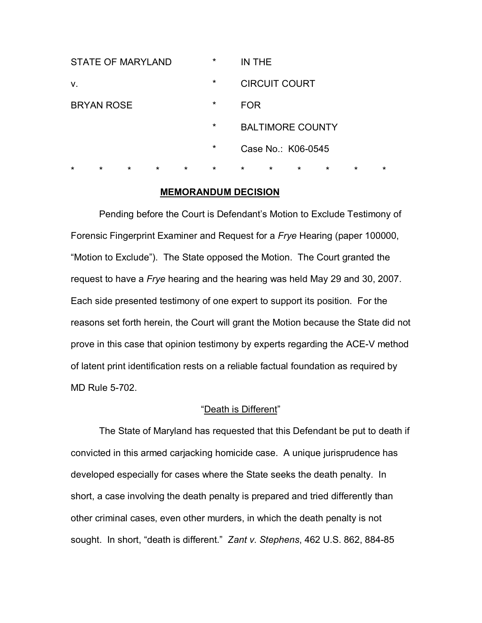| $\star$                  | $\star$ | $\star$ | $\star$ | $\star$ | $\star$ | $\star$              | $\star$                 | $\star$ | $\star$ | $\star$ | $\star$ |
|--------------------------|---------|---------|---------|---------|---------|----------------------|-------------------------|---------|---------|---------|---------|
|                          |         |         |         |         | $\star$ | Case No.: K06-0545   |                         |         |         |         |         |
|                          |         |         |         |         | $\star$ |                      | <b>BALTIMORE COUNTY</b> |         |         |         |         |
| <b>BRYAN ROSE</b>        |         |         |         |         | $\star$ | <b>FOR</b>           |                         |         |         |         |         |
| V.                       |         |         |         |         | $\star$ | <b>CIRCUIT COURT</b> |                         |         |         |         |         |
| <b>STATE OF MARYLAND</b> |         |         |         |         | $\star$ | IN THE               |                         |         |         |         |         |

### **MEMORANDUM DECISION**

 Pending before the Court is Defendant's Motion to Exclude Testimony of Forensic Fingerprint Examiner and Request for a *Frye* Hearing (paper 100000, "Motion to Exclude"). The State opposed the Motion. The Court granted the request to have a *Frye* hearing and the hearing was held May 29 and 30, 2007. Each side presented testimony of one expert to support its position. For the reasons set forth herein, the Court will grant the Motion because the State did not prove in this case that opinion testimony by experts regarding the ACE-V method of latent print identification rests on a reliable factual foundation as required by MD Rule 5-702.

### "Death is Different"

 The State of Maryland has requested that this Defendant be put to death if convicted in this armed carjacking homicide case. A unique jurisprudence has developed especially for cases where the State seeks the death penalty. In short, a case involving the death penalty is prepared and tried differently than other criminal cases, even other murders, in which the death penalty is not sought. In short, "death is different." *Zant v. Stephens*, 462 U.S. 862, 884-85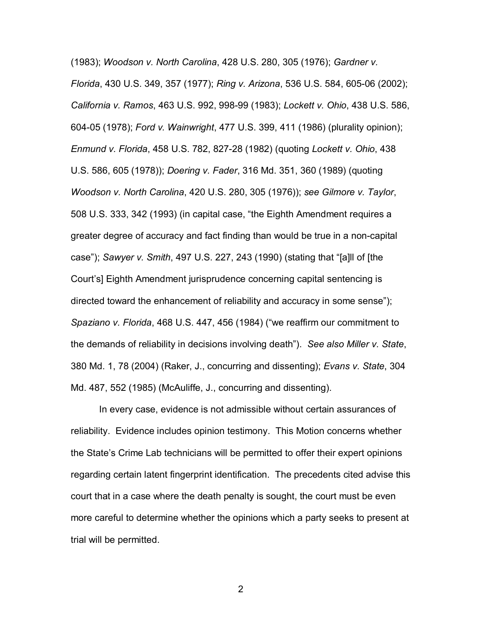(1983); *Woodson v. North Carolina*, 428 U.S. 280, 305 (1976); *Gardner v. Florida*, 430 U.S. 349, 357 (1977); *Ring v. Arizona*, 536 U.S. 584, 605-06 (2002); *California v. Ramos*, 463 U.S. 992, 998-99 (1983); *Lockett v. Ohio*, 438 U.S. 586, 604-05 (1978); *Ford v. Wainwright*, 477 U.S. 399, 411 (1986) (plurality opinion); *Enmund v. Florida*, 458 U.S. 782, 827-28 (1982) (quoting *Lockett v. Ohio*, 438 U.S. 586, 605 (1978)); *Doering v. Fader*, 316 Md. 351, 360 (1989) (quoting *Woodson v. North Carolina*, 420 U.S. 280, 305 (1976)); *see Gilmore v. Taylor*, 508 U.S. 333, 342 (1993) (in capital case, "the Eighth Amendment requires a greater degree of accuracy and fact finding than would be true in a non-capital case"); *Sawyer v. Smith*, 497 U.S. 227, 243 (1990) (stating that "[a]ll of [the Court's] Eighth Amendment jurisprudence concerning capital sentencing is directed toward the enhancement of reliability and accuracy in some sense"); *Spaziano v. Florida*, 468 U.S. 447, 456 (1984) ("we reaffirm our commitment to the demands of reliability in decisions involving death"). *See also Miller v. State*, 380 Md. 1, 78 (2004) (Raker, J., concurring and dissenting); *Evans v. State*, 304 Md. 487, 552 (1985) (McAuliffe, J., concurring and dissenting).

 In every case, evidence is not admissible without certain assurances of reliability. Evidence includes opinion testimony. This Motion concerns whether the State's Crime Lab technicians will be permitted to offer their expert opinions regarding certain latent fingerprint identification. The precedents cited advise this court that in a case where the death penalty is sought, the court must be even more careful to determine whether the opinions which a party seeks to present at trial will be permitted.

2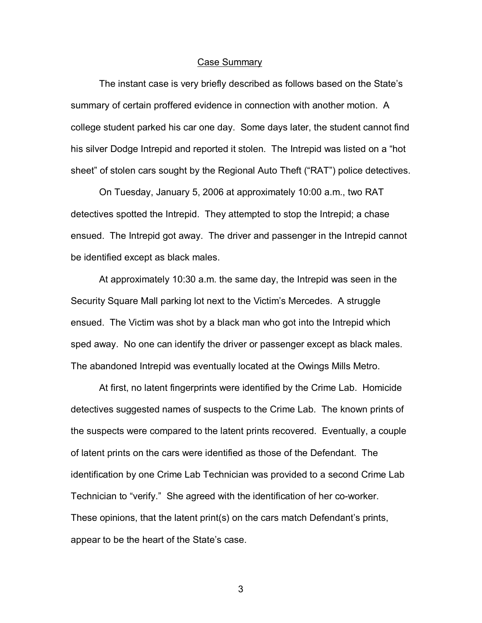#### Case Summary

 The instant case is very briefly described as follows based on the State's summary of certain proffered evidence in connection with another motion. A college student parked his car one day. Some days later, the student cannot find his silver Dodge Intrepid and reported it stolen. The Intrepid was listed on a "hot sheet" of stolen cars sought by the Regional Auto Theft ("RAT") police detectives.

 On Tuesday, January 5, 2006 at approximately 10:00 a.m., two RAT detectives spotted the Intrepid. They attempted to stop the Intrepid; a chase ensued. The Intrepid got away. The driver and passenger in the Intrepid cannot be identified except as black males.

 At approximately 10:30 a.m. the same day, the Intrepid was seen in the Security Square Mall parking lot next to the Victim's Mercedes. A struggle ensued. The Victim was shot by a black man who got into the Intrepid which sped away. No one can identify the driver or passenger except as black males. The abandoned Intrepid was eventually located at the Owings Mills Metro.

 At first, no latent fingerprints were identified by the Crime Lab. Homicide detectives suggested names of suspects to the Crime Lab. The known prints of the suspects were compared to the latent prints recovered. Eventually, a couple of latent prints on the cars were identified as those of the Defendant. The identification by one Crime Lab Technician was provided to a second Crime Lab Technician to "verify." She agreed with the identification of her co-worker. These opinions, that the latent print(s) on the cars match Defendant's prints, appear to be the heart of the State's case.

 $\sim$  3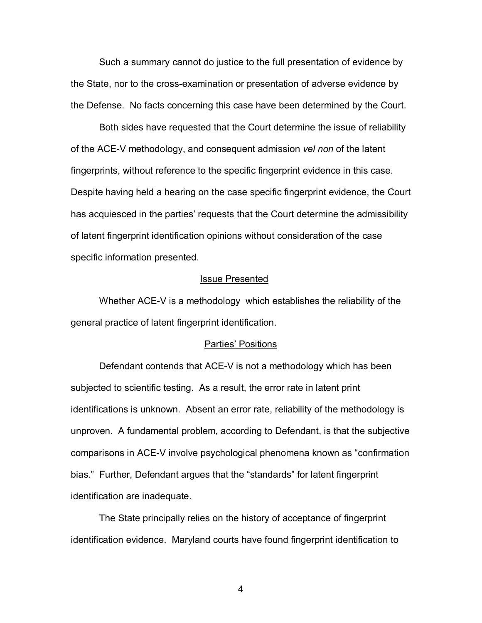Such a summary cannot do justice to the full presentation of evidence by the State, nor to the cross-examination or presentation of adverse evidence by the Defense. No facts concerning this case have been determined by the Court.

Both sides have requested that the Court determine the issue of reliability of the ACE-V methodology, and consequent admission *vel non* of the latent fingerprints, without reference to the specific fingerprint evidence in this case. Despite having held a hearing on the case specific fingerprint evidence, the Court has acquiesced in the parties' requests that the Court determine the admissibility of latent fingerprint identification opinions without consideration of the case specific information presented.

#### Issue Presented

Whether ACE-V is a methodology which establishes the reliability of the general practice of latent fingerprint identification.

#### Parties' Positions

 Defendant contends that ACE-V is not a methodology which has been subjected to scientific testing. As a result, the error rate in latent print identifications is unknown. Absent an error rate, reliability of the methodology is unproven. A fundamental problem, according to Defendant, is that the subjective comparisons in ACE-V involve psychological phenomena known as "confirmation bias." Further, Defendant argues that the "standards" for latent fingerprint identification are inadequate.

The State principally relies on the history of acceptance of fingerprint identification evidence. Maryland courts have found fingerprint identification to

4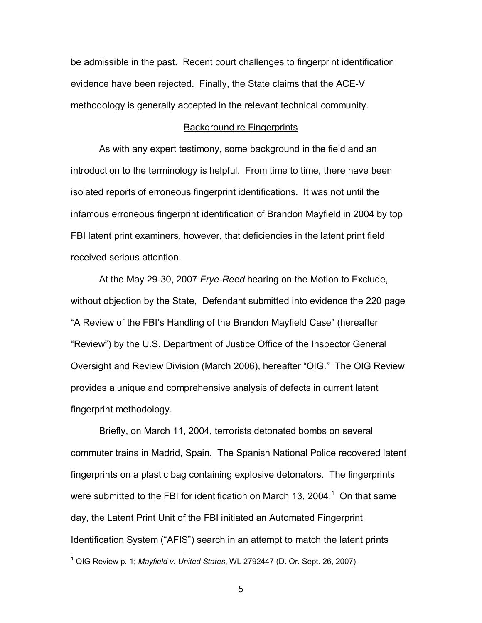be admissible in the past. Recent court challenges to fingerprint identification evidence have been rejected. Finally, the State claims that the ACE-V methodology is generally accepted in the relevant technical community.

#### Background re Fingerprints

As with any expert testimony, some background in the field and an introduction to the terminology is helpful. From time to time, there have been isolated reports of erroneous fingerprint identifications. It was not until the infamous erroneous fingerprint identification of Brandon Mayfield in 2004 by top FBI latent print examiners, however, that deficiencies in the latent print field received serious attention.

At the May 29-30, 2007 *Frye-Reed* hearing on the Motion to Exclude, without objection by the State, Defendant submitted into evidence the 220 page "A Review of the FBI's Handling of the Brandon Mayfield Case" (hereafter "Review") by the U.S. Department of Justice Office of the Inspector General Oversight and Review Division (March 2006), hereafter "OIG." The OIG Review provides a unique and comprehensive analysis of defects in current latent fingerprint methodology.

Briefly, on March 11, 2004, terrorists detonated bombs on several commuter trains in Madrid, Spain. The Spanish National Police recovered latent fingerprints on a plastic bag containing explosive detonators. The fingerprints were submitted to the FBI for identification on March 13, 2004.<sup>1</sup> On that same day, the Latent Print Unit of the FBI initiated an Automated Fingerprint Identification System ("AFIS") search in an attempt to match the latent prints

 1 OIG Review p. 1; *Mayfield v. United States*, WL 2792447 (D. Or. Sept. 26, 2007).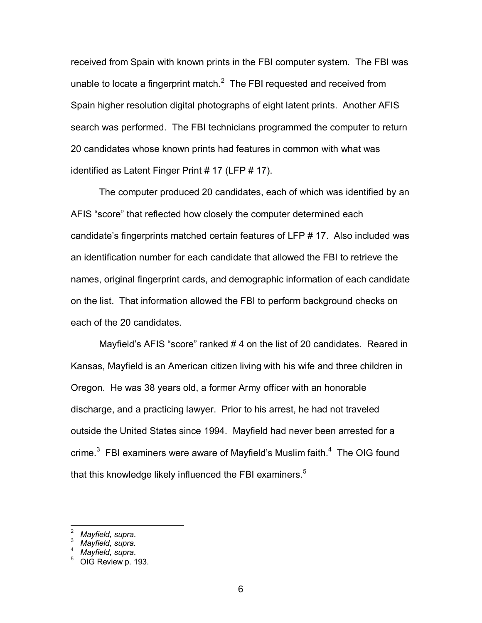received from Spain with known prints in the FBI computer system. The FBI was unable to locate a fingerprint match. $^2$  The FBI requested and received from Spain higher resolution digital photographs of eight latent prints. Another AFIS search was performed. The FBI technicians programmed the computer to return 20 candidates whose known prints had features in common with what was identified as Latent Finger Print # 17 (LFP # 17).

The computer produced 20 candidates, each of which was identified by an AFIS "score" that reflected how closely the computer determined each candidate's fingerprints matched certain features of LFP # 17. Also included was an identification number for each candidate that allowed the FBI to retrieve the names, original fingerprint cards, and demographic information of each candidate on the list. That information allowed the FBI to perform background checks on each of the 20 candidates.

Mayfield's AFIS "score" ranked # 4 on the list of 20 candidates. Reared in Kansas, Mayfield is an American citizen living with his wife and three children in Oregon. He was 38 years old, a former Army officer with an honorable discharge, and a practicing lawyer. Prior to his arrest, he had not traveled outside the United States since 1994. Mayfield had never been arrested for a crime. $3$  FBI examiners were aware of Mayfield's Muslim faith. $4$  The OIG found that this knowledge likely influenced the FBI examiners.<sup>5</sup>

 $\overline{\phantom{a}}$ 

<sup>2</sup> *Mayfield*, *supra*. 3

*Mayfield*, *supra.* 

*Mayfield*, *supra*.

OIG Review p. 193.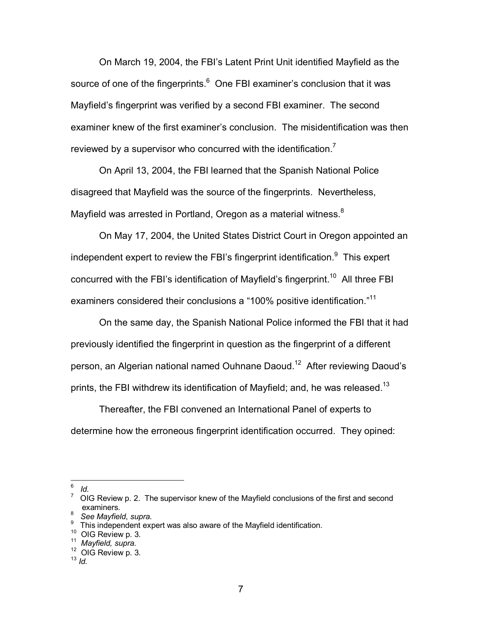On March 19, 2004, the FBI's Latent Print Unit identified Mayfield as the source of one of the fingerprints. $^6$  One FBI examiner's conclusion that it was Mayfield's fingerprint was verified by a second FBI examiner. The second examiner knew of the first examiner's conclusion. The misidentification was then reviewed by a supervisor who concurred with the identification.<sup>7</sup>

On April 13, 2004, the FBI learned that the Spanish National Police disagreed that Mayfield was the source of the fingerprints. Nevertheless, Mayfield was arrested in Portland, Oregon as a material witness. $8$ 

On May 17, 2004, the United States District Court in Oregon appointed an independent expert to review the FBI's fingerprint identification. $9$  This expert concurred with the FBI's identification of Mayfield's fingerprint.<sup>10</sup> All three FBI examiners considered their conclusions a "100% positive identification."11

On the same day, the Spanish National Police informed the FBI that it had previously identified the fingerprint in question as the fingerprint of a different person, an Algerian national named Ouhnane Daoud.<sup>12</sup> After reviewing Daoud's prints, the FBI withdrew its identification of Mayfield; and, he was released.<sup>13</sup>

Thereafter, the FBI convened an International Panel of experts to determine how the erroneous fingerprint identification occurred. They opined:

<sup>-&</sup>lt;br>6 *Id.* 

 $7$  OIG Review p. 2. The supervisor knew of the Mayfield conclusions of the first and second examiners.

<sup>&</sup>lt;sup>8</sup> See Mayfield, supra.<br><sup>9</sup> Thie independent evr

<sup>&</sup>lt;sup>9</sup> This independent expert was also aware of the Mayfield identification.<br><sup>10</sup> OIG Review p. 3.

<sup>10</sup> OIG Review p. 3. 11 *Mayfield, supra.* 12 OIG Review p. 3. 13 *Id.*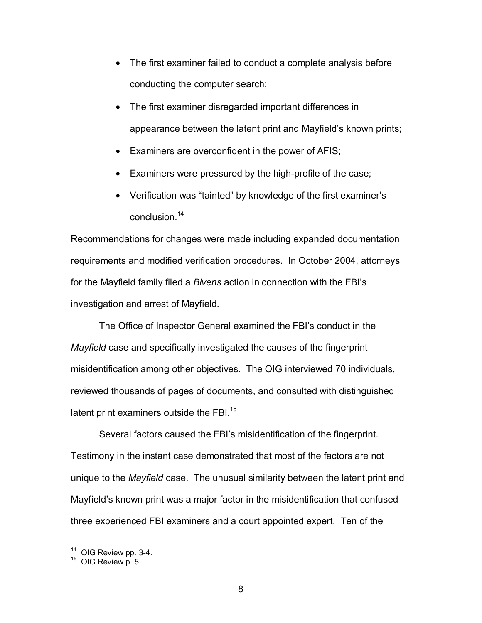- The first examiner failed to conduct a complete analysis before conducting the computer search;
- The first examiner disregarded important differences in appearance between the latent print and Mayfield's known prints;
- Examiners are overconfident in the power of AFIS;
- Examiners were pressured by the high-profile of the case;
- Verification was "tainted" by knowledge of the first examiner's conclusion.14

Recommendations for changes were made including expanded documentation requirements and modified verification procedures. In October 2004, attorneys for the Mayfield family filed a *Bivens* action in connection with the FBI's investigation and arrest of Mayfield.

 The Office of Inspector General examined the FBI's conduct in the *Mayfield* case and specifically investigated the causes of the fingerprint misidentification among other objectives. The OIG interviewed 70 individuals, reviewed thousands of pages of documents, and consulted with distinguished latent print examiners outside the FBI.<sup>15</sup>

 Several factors caused the FBI's misidentification of the fingerprint. Testimony in the instant case demonstrated that most of the factors are not unique to the *Mayfield* case. The unusual similarity between the latent print and Mayfield's known print was a major factor in the misidentification that confused three experienced FBI examiners and a court appointed expert. Ten of the

 $\overline{a}$ 

 $^{14}$  OIG Review pp. 3-4.<br> $^{15}$  OIG Review p. 5.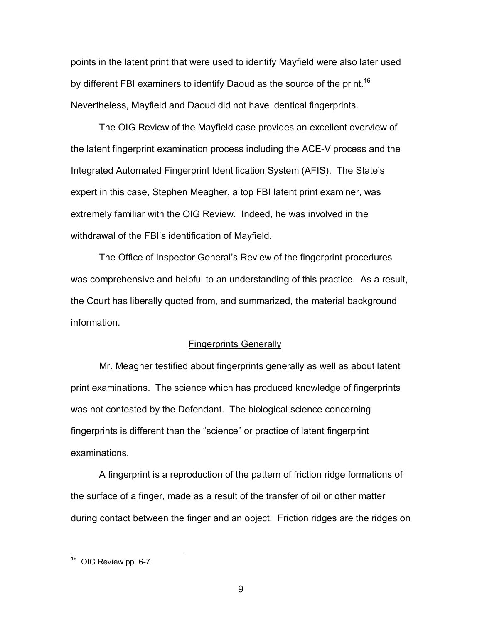points in the latent print that were used to identify Mayfield were also later used by different FBI examiners to identify Daoud as the source of the print.<sup>16</sup> Nevertheless, Mayfield and Daoud did not have identical fingerprints.

The OIG Review of the Mayfield case provides an excellent overview of the latent fingerprint examination process including the ACE-V process and the Integrated Automated Fingerprint Identification System (AFIS). The State's expert in this case, Stephen Meagher, a top FBI latent print examiner, was extremely familiar with the OIG Review. Indeed, he was involved in the withdrawal of the FBI's identification of Mayfield.

The Office of Inspector General's Review of the fingerprint procedures was comprehensive and helpful to an understanding of this practice. As a result, the Court has liberally quoted from, and summarized, the material background information.

### Fingerprints Generally

Mr. Meagher testified about fingerprints generally as well as about latent print examinations. The science which has produced knowledge of fingerprints was not contested by the Defendant. The biological science concerning fingerprints is different than the "science" or practice of latent fingerprint examinations.

A fingerprint is a reproduction of the pattern of friction ridge formations of the surface of a finger, made as a result of the transfer of oil or other matter during contact between the finger and an object. Friction ridges are the ridges on

 $\overline{a}$ 

 $16$  OIG Review pp. 6-7.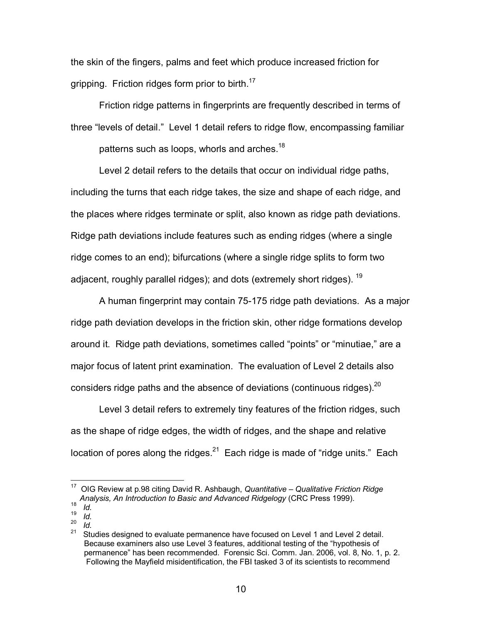the skin of the fingers, palms and feet which produce increased friction for gripping. Friction ridges form prior to birth.<sup>17</sup>

Friction ridge patterns in fingerprints are frequently described in terms of three "levels of detail." Level 1 detail refers to ridge flow, encompassing familiar patterns such as loops, whorls and arches.<sup>18</sup>

Level 2 detail refers to the details that occur on individual ridge paths, including the turns that each ridge takes, the size and shape of each ridge, and the places where ridges terminate or split, also known as ridge path deviations. Ridge path deviations include features such as ending ridges (where a single ridge comes to an end); bifurcations (where a single ridge splits to form two adjacent, roughly parallel ridges); and dots (extremely short ridges).  $19$ 

A human fingerprint may contain 75-175 ridge path deviations. As a major ridge path deviation develops in the friction skin, other ridge formations develop around it. Ridge path deviations, sometimes called "points" or "minutiae," are a major focus of latent print examination. The evaluation of Level 2 details also considers ridge paths and the absence of deviations (continuous ridges). $20$ 

Level 3 detail refers to extremely tiny features of the friction ridges, such as the shape of ridge edges, the width of ridges, and the shape and relative location of pores along the ridges. $21$  Each ridge is made of "ridge units." Each

 $\overline{a}$ 

 $\frac{19}{20}$  *Id.* 

<sup>17</sup> OIG Review at p.98 citing David R. Ashbaugh, *Quantitative – Qualitative Friction Ridge Analysis, An Introduction to Basic and Advanced Ridgelogy* (CRC Press 1999). 18 *Id.* 

 $\frac{20}{21}$  *Id.*<br>21 **C+** Studies designed to evaluate permanence have focused on Level 1 and Level 2 detail. Because examiners also use Level 3 features, additional testing of the "hypothesis of permanence" has been recommended. Forensic Sci. Comm. Jan. 2006, vol. 8, No. 1, p. 2. Following the Mayfield misidentification, the FBI tasked 3 of its scientists to recommend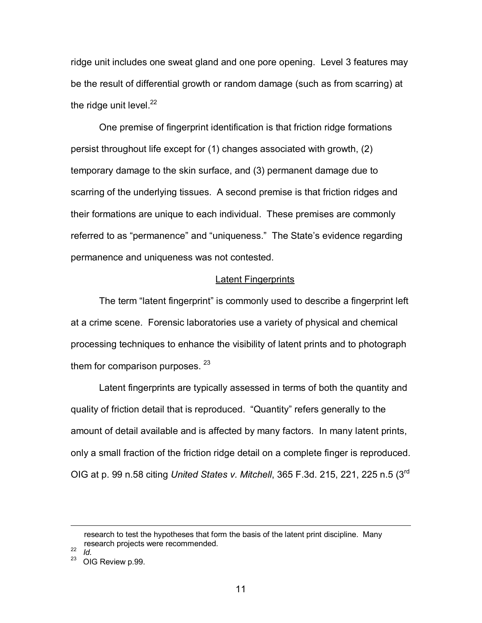ridge unit includes one sweat gland and one pore opening. Level 3 features may be the result of differential growth or random damage (such as from scarring) at the ridge unit level. $22$ 

One premise of fingerprint identification is that friction ridge formations persist throughout life except for (1) changes associated with growth, (2) temporary damage to the skin surface, and (3) permanent damage due to scarring of the underlying tissues. A second premise is that friction ridges and their formations are unique to each individual. These premises are commonly referred to as "permanence" and "uniqueness." The State's evidence regarding permanence and uniqueness was not contested.

### Latent Fingerprints

The term "latent fingerprint" is commonly used to describe a fingerprint left at a crime scene. Forensic laboratories use a variety of physical and chemical processing techniques to enhance the visibility of latent prints and to photograph them for comparison purposes.  $23$ 

Latent fingerprints are typically assessed in terms of both the quantity and quality of friction detail that is reproduced. "Quantity" refers generally to the amount of detail available and is affected by many factors. In many latent prints, only a small fraction of the friction ridge detail on a complete finger is reproduced. OIG at p. 99 n.58 citing *United States v. Mitchell*, 365 F.3d. 215, 221, 225 n.5 (3rd

 $\frac{22}{23}$  *Id.* 

research to test the hypotheses that form the basis of the latent print discipline. Many research projects were recommended.

OIG Review p.99.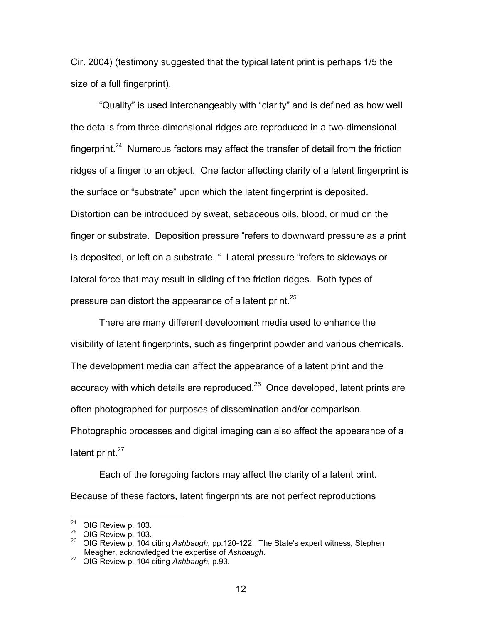Cir. 2004) (testimony suggested that the typical latent print is perhaps 1/5 the size of a full fingerprint).

"Quality" is used interchangeably with "clarity" and is defined as how well the details from three-dimensional ridges are reproduced in a two-dimensional fingerprint.<sup>24</sup> Numerous factors may affect the transfer of detail from the friction ridges of a finger to an object. One factor affecting clarity of a latent fingerprint is the surface or "substrate" upon which the latent fingerprint is deposited. Distortion can be introduced by sweat, sebaceous oils, blood, or mud on the finger or substrate. Deposition pressure "refers to downward pressure as a print is deposited, or left on a substrate. " Lateral pressure "refers to sideways or lateral force that may result in sliding of the friction ridges. Both types of pressure can distort the appearance of a latent print.<sup>25</sup>

There are many different development media used to enhance the visibility of latent fingerprints, such as fingerprint powder and various chemicals. The development media can affect the appearance of a latent print and the accuracy with which details are reproduced. $^{26}$  Once developed, latent prints are often photographed for purposes of dissemination and/or comparison. Photographic processes and digital imaging can also affect the appearance of a latent print.<sup>27</sup>

Each of the foregoing factors may affect the clarity of a latent print. Because of these factors, latent fingerprints are not perfect reproductions

 $24$  OIG Review p. 103.

<sup>24</sup> OIG Review p. 103. 25 OIG Review p. 103. 26 OIG Review p. 104 citing *Ashbaugh*, pp.120-122. The State's expert witness, Stephen Meagher, acknowledged the expertise of *Ashbaugh*. 27 OIG Review p. 104 citing *Ashbaugh*, p.93.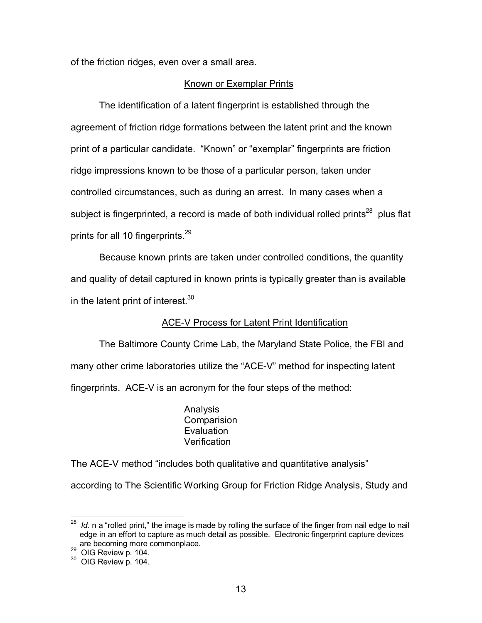of the friction ridges, even over a small area.

## Known or Exemplar Prints

The identification of a latent fingerprint is established through the agreement of friction ridge formations between the latent print and the known print of a particular candidate. "Known" or "exemplar" fingerprints are friction ridge impressions known to be those of a particular person, taken under controlled circumstances, such as during an arrest. In many cases when a subject is fingerprinted, a record is made of both individual rolled prints $^{28}$  plus flat prints for all 10 fingerprints.<sup>29</sup>

Because known prints are taken under controlled conditions, the quantity and quality of detail captured in known prints is typically greater than is available in the latent print of interest.<sup>30</sup>

# ACE-V Process for Latent Print Identification

The Baltimore County Crime Lab, the Maryland State Police, the FBI and many other crime laboratories utilize the "ACE-V" method for inspecting latent fingerprints. ACE-V is an acronym for the four steps of the method:

> Analysis **Comparision Evaluation Verification**

The ACE-V method "includes both qualitative and quantitative analysis"

according to The Scientific Working Group for Friction Ridge Analysis, Study and

 $\overline{a}$ <sup>28</sup> *Id.* n a "rolled print," the image is made by rolling the surface of the finger from nail edge to nail edge in an effort to capture as much detail as possible. Electronic fingerprint capture devices are becoming more commonplace.

 $^{29}$  OIG Review p. 104.<br> $^{30}$  OIG Review p. 104.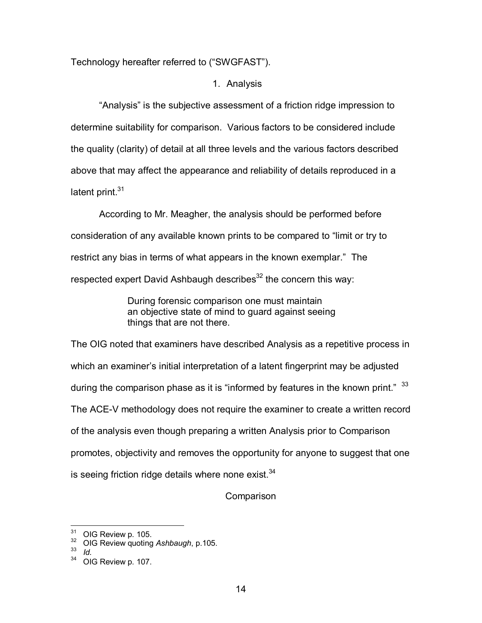Technology hereafter referred to ("SWGFAST").

1. Analysis

"Analysis" is the subjective assessment of a friction ridge impression to determine suitability for comparison. Various factors to be considered include the quality (clarity) of detail at all three levels and the various factors described above that may affect the appearance and reliability of details reproduced in a latent print.<sup>31</sup>

According to Mr. Meagher, the analysis should be performed before consideration of any available known prints to be compared to "limit or try to restrict any bias in terms of what appears in the known exemplar." The respected expert David Ashbaugh describes $32$  the concern this way:

> During forensic comparison one must maintain an objective state of mind to guard against seeing things that are not there.

The OIG noted that examiners have described Analysis as a repetitive process in which an examiner's initial interpretation of a latent fingerprint may be adjusted during the comparison phase as it is "informed by features in the known print."  $33$ The ACE-V methodology does not require the examiner to create a written record of the analysis even though preparing a written Analysis prior to Comparison promotes, objectivity and removes the opportunity for anyone to suggest that one is seeing friction ridge details where none exist. $34$ 

Comparison

 $\overline{\phantom{a}}$ 

<sup>&</sup>lt;sup>31</sup> OIG Review p. 105.<br><sup>32</sup> OIG Review quoting *Ashbaugh*, p.105.<br><sup>34</sup> OIC Boview p. 107.

OIG Review p. 107.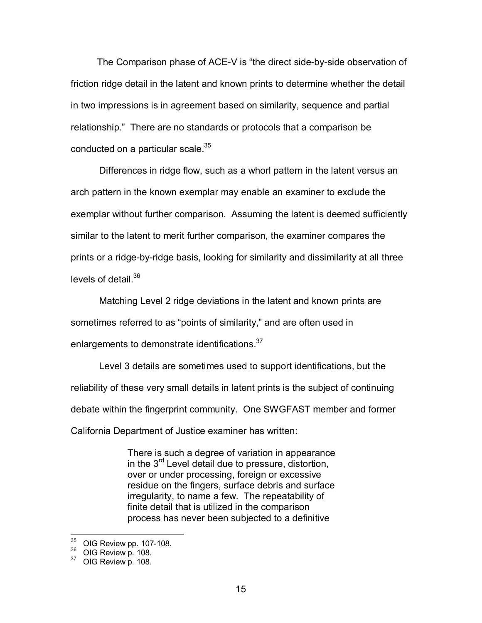The Comparison phase of ACE-V is "the direct side-by-side observation of friction ridge detail in the latent and known prints to determine whether the detail in two impressions is in agreement based on similarity, sequence and partial relationship." There are no standards or protocols that a comparison be conducted on a particular scale.<sup>35</sup>

 Differences in ridge flow, such as a whorl pattern in the latent versus an arch pattern in the known exemplar may enable an examiner to exclude the exemplar without further comparison. Assuming the latent is deemed sufficiently similar to the latent to merit further comparison, the examiner compares the prints or a ridge-by-ridge basis, looking for similarity and dissimilarity at all three levels of detail.<sup>36</sup>

 Matching Level 2 ridge deviations in the latent and known prints are sometimes referred to as "points of similarity," and are often used in enlargements to demonstrate identifications.<sup>37</sup>

 Level 3 details are sometimes used to support identifications, but the reliability of these very small details in latent prints is the subject of continuing debate within the fingerprint community. One SWGFAST member and former California Department of Justice examiner has written:

> There is such a degree of variation in appearance in the 3<sup>rd</sup> Level detail due to pressure, distortion, over or under processing, foreign or excessive residue on the fingers, surface debris and surface irregularity, to name a few. The repeatability of finite detail that is utilized in the comparison process has never been subjected to a definitive

 $35<sup>°</sup>$  $\frac{35}{36}$  OIG Review pp. 107-108.<br> $\frac{36}{37}$  OIG Review p. 108.<br> $\frac{37}{37}$  OIG Review p. 108.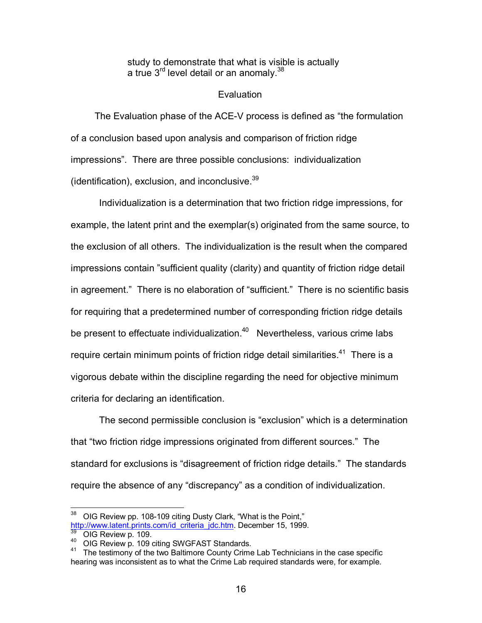study to demonstrate that what is visible is actually a true  $3<sup>rd</sup>$  level detail or an anomaly.<sup>38</sup>

## **Evaluation**

 The Evaluation phase of the ACE-V process is defined as "the formulation of a conclusion based upon analysis and comparison of friction ridge impressions". There are three possible conclusions: individualization (identification), exclusion, and inconclusive. $39$ 

 Individualization is a determination that two friction ridge impressions, for example, the latent print and the exemplar(s) originated from the same source, to the exclusion of all others. The individualization is the result when the compared impressions contain "sufficient quality (clarity) and quantity of friction ridge detail in agreement." There is no elaboration of "sufficient." There is no scientific basis for requiring that a predetermined number of corresponding friction ridge details be present to effectuate individualization. $40$  Nevertheless, various crime labs require certain minimum points of friction ridge detail similarities.<sup>41</sup> There is a vigorous debate within the discipline regarding the need for objective minimum criteria for declaring an identification.

 The second permissible conclusion is "exclusion" which is a determination that "two friction ridge impressions originated from different sources." The standard for exclusions is "disagreement of friction ridge details." The standards require the absence of any "discrepancy" as a condition of individualization.

 $\overline{a}$  $38$  OIG Review pp. 108-109 citing Dusty Clark, "What is the Point," http://www.latent.prints.com/id\_criteria\_jdc.htm. December 15, 1999.

<sup>&</sup>lt;sup>39</sup> OIG Review p. 109.<br><sup>40</sup> OIG Review p. 109 citing SWGFAST Standards.<br><sup>41</sup> The testimony of the two Baltimore County Crime Lab Technicians in the case specific hearing was inconsistent as to what the Crime Lab required standards were, for example.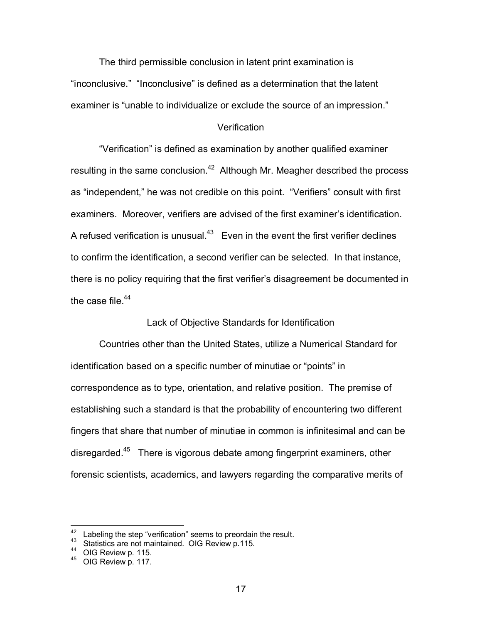The third permissible conclusion in latent print examination is "inconclusive." "Inconclusive" is defined as a determination that the latent examiner is "unable to individualize or exclude the source of an impression."

### **Verification**

 "Verification" is defined as examination by another qualified examiner resulting in the same conclusion.<sup>42</sup> Although Mr. Meagher described the process as "independent," he was not credible on this point. "Verifiers" consult with first examiners. Moreover, verifiers are advised of the first examiner's identification. A refused verification is unusual. $43$  Even in the event the first verifier declines to confirm the identification, a second verifier can be selected. In that instance, there is no policy requiring that the first verifier's disagreement be documented in the case file. $44$ 

Lack of Objective Standards for Identification

 Countries other than the United States, utilize a Numerical Standard for identification based on a specific number of minutiae or "points" in correspondence as to type, orientation, and relative position. The premise of establishing such a standard is that the probability of encountering two different fingers that share that number of minutiae in common is infinitesimal and can be disregarded.<sup>45</sup> There is vigorous debate among fingerprint examiners, other forensic scientists, academics, and lawyers regarding the comparative merits of

 $\overline{a}$ 

<sup>&</sup>lt;sup>42</sup> Labeling the step "verification" seems to preordain the result.<br>
<sup>43</sup> Statistics are not maintained. OIG Review p.115.<br>
<sup>45</sup> OIG Review p. 117.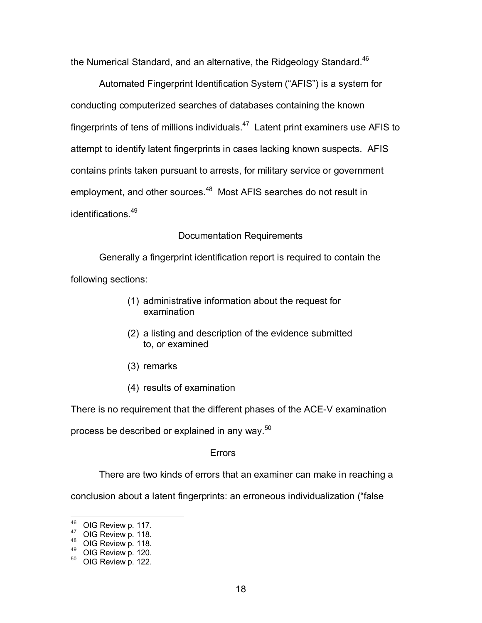the Numerical Standard, and an alternative, the Ridgeology Standard.<sup>46</sup>

 Automated Fingerprint Identification System ("AFIS") is a system for conducting computerized searches of databases containing the known fingerprints of tens of millions individuals. $47$  Latent print examiners use AFIS to attempt to identify latent fingerprints in cases lacking known suspects. AFIS contains prints taken pursuant to arrests, for military service or government employment, and other sources.<sup>48</sup> Most AFIS searches do not result in identifications<sup>49</sup>

# Documentation Requirements

 Generally a fingerprint identification report is required to contain the following sections:

- (1) administrative information about the request for examination
- (2) a listing and description of the evidence submitted to, or examined
- (3) remarks
- (4) results of examination

There is no requirement that the different phases of the ACE-V examination

process be described or explained in any way. $50$ 

# Errors

There are two kinds of errors that an examiner can make in reaching a

conclusion about a latent fingerprints: an erroneous individualization ("false

<sup>&</sup>lt;sup>46</sup> OIG Review p. 117.

<sup>47</sup> OIG Review p. 118.<br>
48 OIG Review p. 118.<br>
50 OIG Review p. 120.<br>
50 OIG Review p. 122.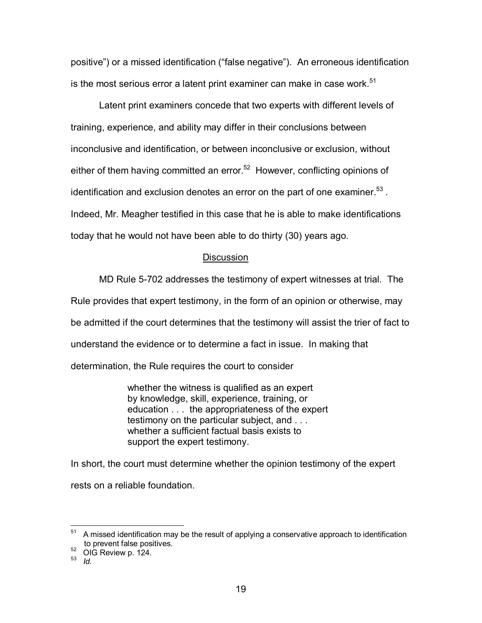positive") or a missed identification ("false negative"). An erroneous identification is the most serious error a latent print examiner can make in case work.<sup>51</sup>

 Latent print examiners concede that two experts with different levels of training, experience, and ability may differ in their conclusions between inconclusive and identification, or between inconclusive or exclusion, without either of them having committed an error.<sup>52</sup> However, conflicting opinions of identification and exclusion denotes an error on the part of one examiner.<sup>53</sup>. Indeed, Mr. Meagher testified in this case that he is able to make identifications today that he would not have been able to do thirty (30) years ago.

# **Discussion**

MD Rule 5-702 addresses the testimony of expert witnesses at trial. The

Rule provides that expert testimony, in the form of an opinion or otherwise, may

be admitted if the court determines that the testimony will assist the trier of fact to

understand the evidence or to determine a fact in issue. In making that

determination, the Rule requires the court to consider

 whether the witness is qualified as an expert by knowledge, skill, experience, training, or education . . . the appropriateness of the expert testimony on the particular subject, and . . . whether a sufficient factual basis exists to support the expert testimony.

In short, the court must determine whether the opinion testimony of the expert rests on a reliable foundation.

 $\overline{a}$ 

<sup>51</sup> A missed identification may be the result of applying a conservative approach to identification to prevent false positives.

 $^{52}$  OIG Review p. 124.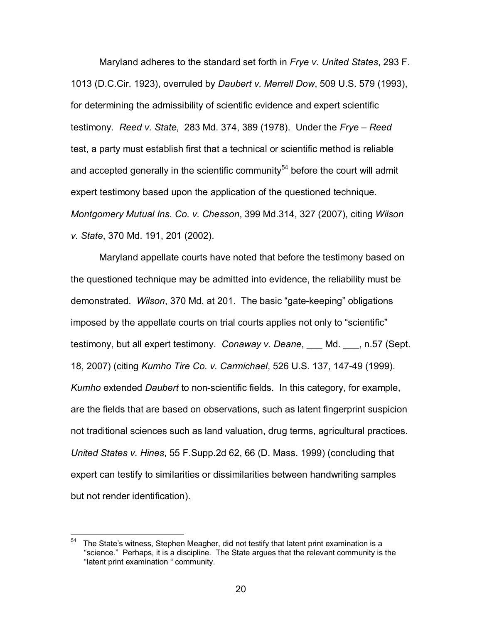Maryland adheres to the standard set forth in *Frye v. United States*, 293 F. 1013 (D.C.Cir. 1923), overruled by *Daubert v. Merrell Dow*, 509 U.S. 579 (1993), for determining the admissibility of scientific evidence and expert scientific testimony. *Reed v. State*, 283 Md. 374, 389 (1978). Under the *Frye – Reed* test, a party must establish first that a technical or scientific method is reliable and accepted generally in the scientific community $54$  before the court will admit expert testimony based upon the application of the questioned technique. *Montgomery Mutual Ins. Co. v. Chesson*, 399 Md.314, 327 (2007), citing *Wilson v. State*, 370 Md. 191, 201 (2002).

 Maryland appellate courts have noted that before the testimony based on the questioned technique may be admitted into evidence, the reliability must be demonstrated. *Wilson*, 370 Md. at 201. The basic "gate-keeping" obligations imposed by the appellate courts on trial courts applies not only to "scientific" testimony, but all expert testimony. *Conaway v. Deane*, \_\_\_ Md. \_\_\_, n.57 (Sept. 18, 2007) (citing *Kumho Tire Co. v. Carmichael*, 526 U.S. 137, 147-49 (1999). *Kumho* extended *Daubert* to non-scientific fields. In this category, for example, are the fields that are based on observations, such as latent fingerprint suspicion not traditional sciences such as land valuation, drug terms, agricultural practices. *United States v. Hines*, 55 F.Supp.2d 62, 66 (D. Mass. 1999) (concluding that expert can testify to similarities or dissimilarities between handwriting samples but not render identification).

<sup>54</sup> The State's witness, Stephen Meagher, did not testify that latent print examination is a "science." Perhaps, it is a discipline. The State argues that the relevant community is the "latent print examination " community.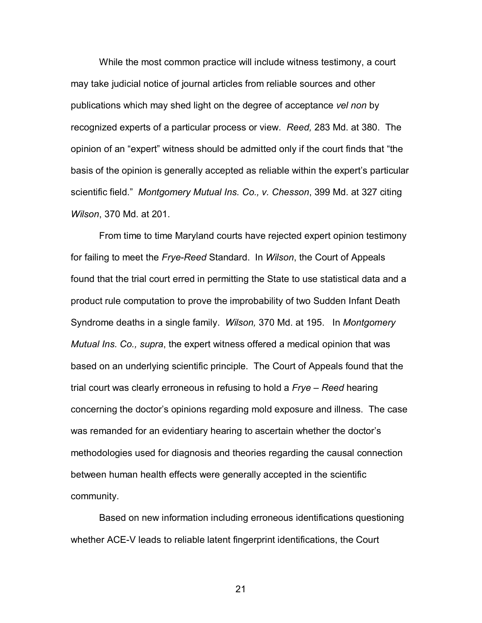While the most common practice will include witness testimony, a court may take judicial notice of journal articles from reliable sources and other publications which may shed light on the degree of acceptance *vel non* by recognized experts of a particular process or view. *Reed,* 283 Md. at 380. The opinion of an "expert" witness should be admitted only if the court finds that "the basis of the opinion is generally accepted as reliable within the expert's particular scientific field." *Montgomery Mutual Ins. Co., v. Chesson*, 399 Md. at 327 citing *Wilson*, 370 Md. at 201.

 From time to time Maryland courts have rejected expert opinion testimony for failing to meet the *Frye-Reed* Standard. In *Wilson*, the Court of Appeals found that the trial court erred in permitting the State to use statistical data and a product rule computation to prove the improbability of two Sudden Infant Death Syndrome deaths in a single family. *Wilson,* 370 Md. at 195. In *Montgomery Mutual Ins. Co., supra*, the expert witness offered a medical opinion that was based on an underlying scientific principle. The Court of Appeals found that the trial court was clearly erroneous in refusing to hold a *Frye – Reed* hearing concerning the doctor's opinions regarding mold exposure and illness. The case was remanded for an evidentiary hearing to ascertain whether the doctor's methodologies used for diagnosis and theories regarding the causal connection between human health effects were generally accepted in the scientific community.

Based on new information including erroneous identifications questioning whether ACE-V leads to reliable latent fingerprint identifications, the Court

21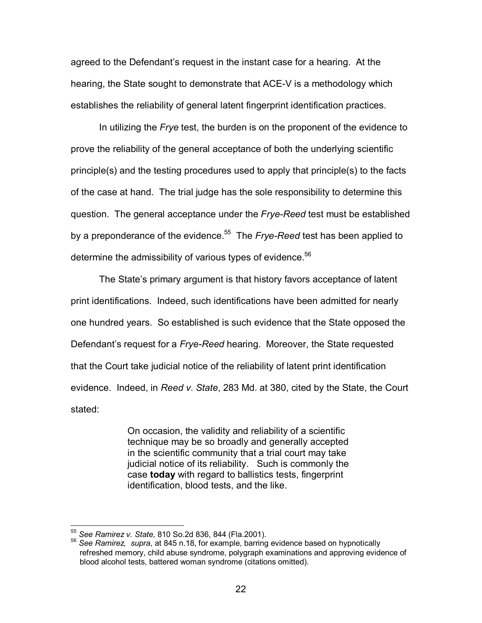agreed to the Defendant's request in the instant case for a hearing. At the hearing, the State sought to demonstrate that ACE-V is a methodology which establishes the reliability of general latent fingerprint identification practices.

In utilizing the *Frye* test, the burden is on the proponent of the evidence to prove the reliability of the general acceptance of both the underlying scientific principle(s) and the testing procedures used to apply that principle(s) to the facts of the case at hand. The trial judge has the sole responsibility to determine this question. The general acceptance under the *Frye-Reed* test must be established by a preponderance of the evidence.55 The *Frye-Reed* test has been applied to determine the admissibility of various types of evidence.<sup>56</sup>

The State's primary argument is that history favors acceptance of latent print identifications. Indeed, such identifications have been admitted for nearly one hundred years. So established is such evidence that the State opposed the Defendant's request for a *Frye-Reed* hearing. Moreover, the State requested that the Court take judicial notice of the reliability of latent print identification evidence. Indeed, in *Reed v. State*, 283 Md. at 380, cited by the State, the Court stated:

> On occasion, the validity and reliability of a scientific technique may be so broadly and generally accepted in the scientific community that a trial court may take judicial notice of its reliability. Such is commonly the case **today** with regard to ballistics tests, fingerprint identification, blood tests, and the like.

<sup>&</sup>lt;sup>55</sup> See Ramirez v. State, 810 So.2d 836, 844 (Fla.2001).

<sup>&</sup>lt;sup>56</sup> See Ramirez, *supra*, at 845 n.18, for example, barring evidence based on hypnotically refreshed memory, child abuse syndrome, polygraph examinations and approving evidence of blood alcohol tests, battered woman syndrome (citations omitted).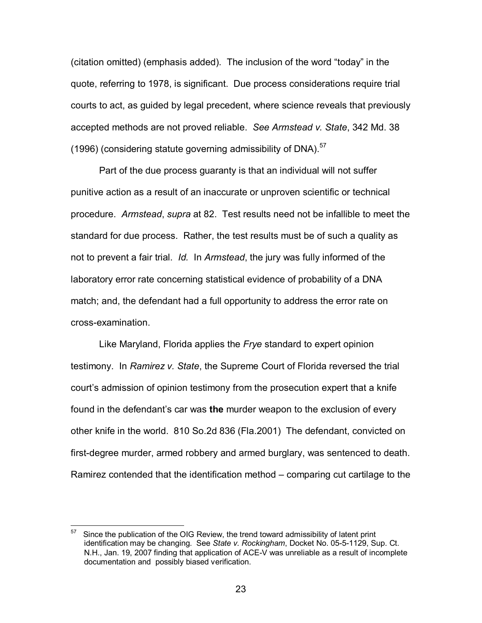(citation omitted) (emphasis added). The inclusion of the word "today" in the quote, referring to 1978, is significant. Due process considerations require trial courts to act, as guided by legal precedent, where science reveals that previously accepted methods are not proved reliable. *See Armstead v. State*, 342 Md. 38 (1996) (considering statute governing admissibility of DNA). $57$ 

 Part of the due process guaranty is that an individual will not suffer punitive action as a result of an inaccurate or unproven scientific or technical procedure. *Armstead*, *supra* at 82. Test results need not be infallible to meet the standard for due process. Rather, the test results must be of such a quality as not to prevent a fair trial. *Id.* In *Armstead*, the jury was fully informed of the laboratory error rate concerning statistical evidence of probability of a DNA match; and, the defendant had a full opportunity to address the error rate on cross-examination.

 Like Maryland, Florida applies the *Frye* standard to expert opinion testimony. In *Ramirez v. State*, the Supreme Court of Florida reversed the trial court's admission of opinion testimony from the prosecution expert that a knife found in the defendant's car was **the** murder weapon to the exclusion of every other knife in the world. 810 So.2d 836 (Fla.2001) The defendant, convicted on first-degree murder, armed robbery and armed burglary, was sentenced to death. Ramirez contended that the identification method – comparing cut cartilage to the

 $\overline{a}$ 

Since the publication of the OIG Review, the trend toward admissibility of latent print identification may be changing. See *State v. Rockingham*, Docket No. 05-5-1129, Sup. Ct. N.H., Jan. 19, 2007 finding that application of ACE-V was unreliable as a result of incomplete documentation and possibly biased verification.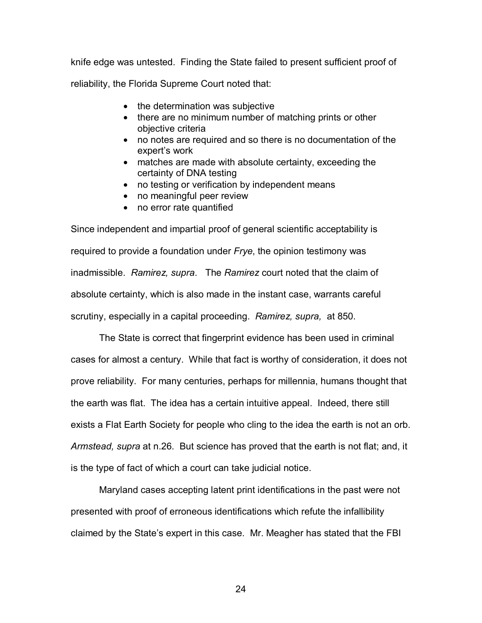knife edge was untested. Finding the State failed to present sufficient proof of reliability, the Florida Supreme Court noted that:

- the determination was subjective
- there are no minimum number of matching prints or other objective criteria
- no notes are required and so there is no documentation of the expert's work
- matches are made with absolute certainty, exceeding the certainty of DNA testing
- no testing or verification by independent means
- no meaningful peer review
- no error rate quantified

Since independent and impartial proof of general scientific acceptability is required to provide a foundation under *Frye*, the opinion testimony was inadmissible. *Ramirez, supra*. The *Ramirez* court noted that the claim of absolute certainty, which is also made in the instant case, warrants careful scrutiny, especially in a capital proceeding. *Ramirez, supra,* at 850.

 The State is correct that fingerprint evidence has been used in criminal cases for almost a century. While that fact is worthy of consideration, it does not prove reliability. For many centuries, perhaps for millennia, humans thought that the earth was flat. The idea has a certain intuitive appeal. Indeed, there still exists a Flat Earth Society for people who cling to the idea the earth is not an orb. *Armstead, supra* at n.26. But science has proved that the earth is not flat; and, it is the type of fact of which a court can take judicial notice.

 Maryland cases accepting latent print identifications in the past were not presented with proof of erroneous identifications which refute the infallibility claimed by the State's expert in this case. Mr. Meagher has stated that the FBI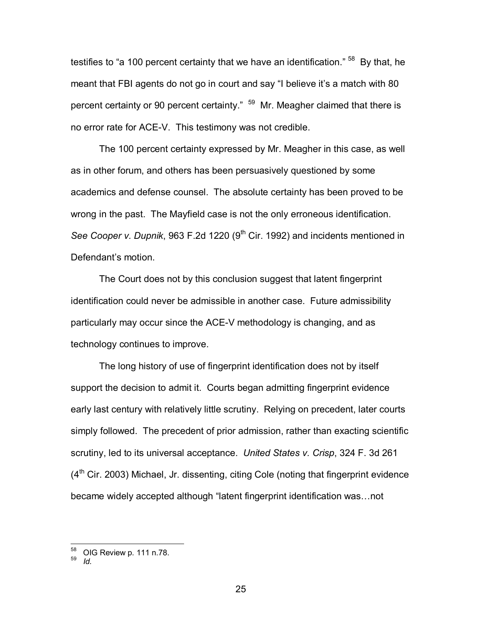testifies to "a 100 percent certainty that we have an identification." <sup>58</sup> By that, he meant that FBI agents do not go in court and say "I believe it's a match with 80 percent certainty or 90 percent certainty." <sup>59</sup> Mr. Meagher claimed that there is no error rate for ACE-V. This testimony was not credible.

 The 100 percent certainty expressed by Mr. Meagher in this case, as well as in other forum, and others has been persuasively questioned by some academics and defense counsel. The absolute certainty has been proved to be wrong in the past. The Mayfield case is not the only erroneous identification. *See Cooper v. Dupnik*, 963 F.2d 1220 (9<sup>th</sup> Cir. 1992) and incidents mentioned in Defendant's motion.

 The Court does not by this conclusion suggest that latent fingerprint identification could never be admissible in another case. Future admissibility particularly may occur since the ACE-V methodology is changing, and as technology continues to improve.

The long history of use of fingerprint identification does not by itself support the decision to admit it. Courts began admitting fingerprint evidence early last century with relatively little scrutiny. Relying on precedent, later courts simply followed. The precedent of prior admission, rather than exacting scientific scrutiny, led to its universal acceptance. *United States v. Crisp*, 324 F. 3d 261  $(4<sup>th</sup>$  Cir. 2003) Michael, Jr. dissenting, citing Cole (noting that fingerprint evidence became widely accepted although "latent fingerprint identification was…not

<sup>58</sup> 58 OIG Review p. 111 n.78. 59 *Id.*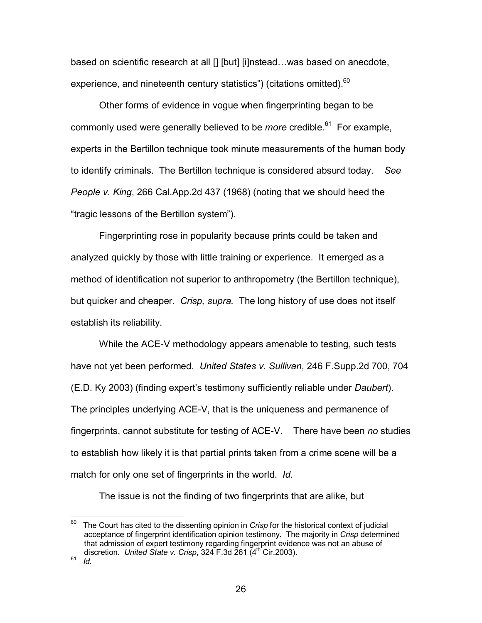based on scientific research at all [] [but] [i]nstead...was based on anecdote, experience, and nineteenth century statistics") (citations omitted).<sup>60</sup>

Other forms of evidence in vogue when fingerprinting began to be commonly used were generally believed to be *more* credible.<sup>61</sup> For example, experts in the Bertillon technique took minute measurements of the human body to identify criminals. The Bertillon technique is considered absurd today. *See People v. King*, 266 Cal.App.2d 437 (1968) (noting that we should heed the "tragic lessons of the Bertillon system").

Fingerprinting rose in popularity because prints could be taken and analyzed quickly by those with little training or experience. It emerged as a method of identification not superior to anthropometry (the Bertillon technique), but quicker and cheaper. *Crisp, supra.* The long history of use does not itself establish its reliability.

While the ACE-V methodology appears amenable to testing, such tests have not yet been performed. *United States v. Sullivan*, 246 F.Supp.2d 700, 704 (E.D. Ky 2003) (finding expert's testimony sufficiently reliable under *Daubert*). The principles underlying ACE-V, that is the uniqueness and permanence of fingerprints, cannot substitute for testing of ACE-V. There have been *no* studies to establish how likely it is that partial prints taken from a crime scene will be a match for only one set of fingerprints in the world. *Id.*

The issue is not the finding of two fingerprints that are alike, but

<sup>60</sup> 60 The Court has cited to the dissenting opinion in *Crisp* for the historical context of judicial acceptance of fingerprint identification opinion testimony. The majority in *Crisp* determined that admission of expert testimony regarding fingerprint evidence was not an abuse of discretion. *United State v. Crisp*, 324 F.3d 261 (4<sup>th</sup> Cir.2003).<br><sup>61</sup> *Id*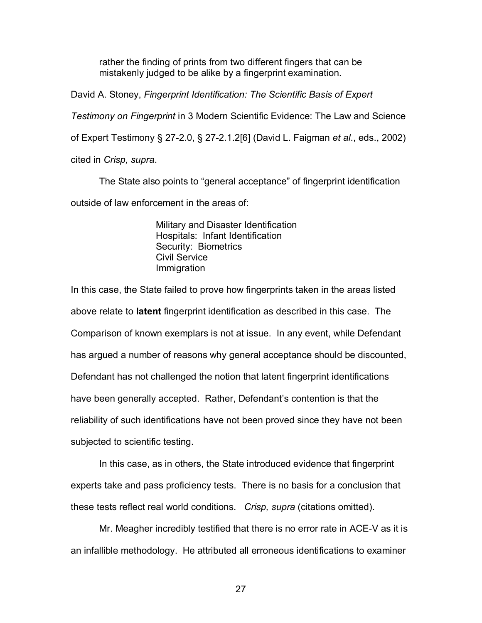rather the finding of prints from two different fingers that can be mistakenly judged to be alike by a fingerprint examination.

David A. Stoney, *Fingerprint Identification: The Scientific Basis of Expert* 

*Testimony on Fingerprint* in 3 Modern Scientific Evidence: The Law and Science

of Expert Testimony § 27-2.0, § 27-2.1.2[6] (David L. Faigman *et al*., eds., 2002)

cited in *Crisp, supra*.

 The State also points to "general acceptance" of fingerprint identification outside of law enforcement in the areas of:

> Military and Disaster Identification Hospitals: Infant Identification Security: Biometrics Civil Service Immigration

In this case, the State failed to prove how fingerprints taken in the areas listed above relate to **latent** fingerprint identification as described in this case. The Comparison of known exemplars is not at issue. In any event, while Defendant has argued a number of reasons why general acceptance should be discounted, Defendant has not challenged the notion that latent fingerprint identifications have been generally accepted. Rather, Defendant's contention is that the reliability of such identifications have not been proved since they have not been subjected to scientific testing.

 In this case, as in others, the State introduced evidence that fingerprint experts take and pass proficiency tests. There is no basis for a conclusion that these tests reflect real world conditions. *Crisp, supra* (citations omitted).

 Mr. Meagher incredibly testified that there is no error rate in ACE-V as it is an infallible methodology. He attributed all erroneous identifications to examiner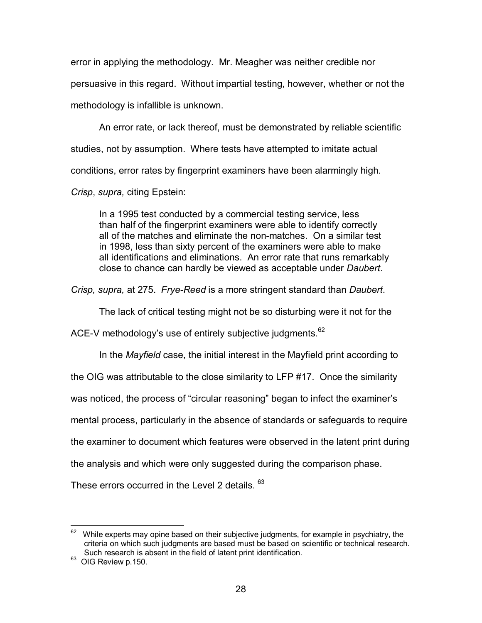error in applying the methodology. Mr. Meagher was neither credible nor persuasive in this regard. Without impartial testing, however, whether or not the methodology is infallible is unknown.

 An error rate, or lack thereof, must be demonstrated by reliable scientific studies, not by assumption. Where tests have attempted to imitate actual conditions, error rates by fingerprint examiners have been alarmingly high. *Crisp*, *supra,* citing Epstein:

In a 1995 test conducted by a commercial testing service, less than half of the fingerprint examiners were able to identify correctly all of the matches and eliminate the non-matches. On a similar test in 1998, less than sixty percent of the examiners were able to make all identifications and eliminations. An error rate that runs remarkably close to chance can hardly be viewed as acceptable under *Daubert*.

*Crisp, supra,* at 275. *Frye-Reed* is a more stringent standard than *Daubert*.

The lack of critical testing might not be so disturbing were it not for the

ACE-V methodology's use of entirely subjective judgments.<sup>62</sup>

In the *Mayfield* case, the initial interest in the Mayfield print according to

the OIG was attributable to the close similarity to LFP #17. Once the similarity

was noticed, the process of "circular reasoning" began to infect the examiner's

mental process, particularly in the absence of standards or safeguards to require

the examiner to document which features were observed in the latent print during

the analysis and which were only suggested during the comparison phase.

These errors occurred in the Level 2 details. <sup>63</sup>

 $\overline{a}$ While experts may opine based on their subjective judgments, for example in psychiatry, the criteria on which such judgments are based must be based on scientific or technical research. Such research is absent in the field of latent print identification.

<sup>&</sup>lt;sup>63</sup> OIG Review p.150.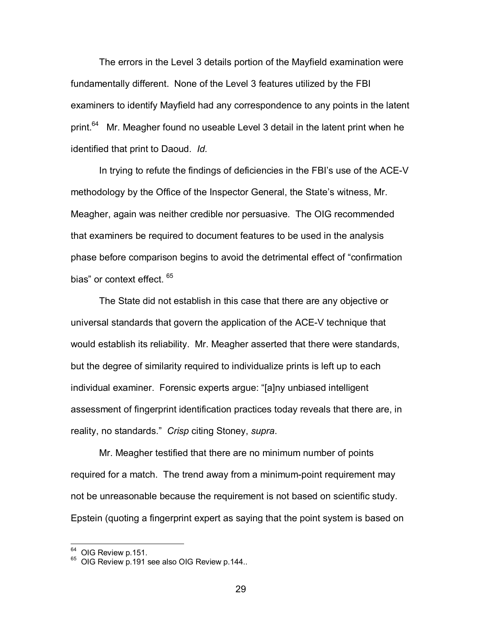The errors in the Level 3 details portion of the Mayfield examination were fundamentally different. None of the Level 3 features utilized by the FBI examiners to identify Mayfield had any correspondence to any points in the latent print.<sup>64</sup> Mr. Meagher found no useable Level 3 detail in the latent print when he identified that print to Daoud. *Id.* 

In trying to refute the findings of deficiencies in the FBI's use of the ACE-V methodology by the Office of the Inspector General, the State's witness, Mr. Meagher, again was neither credible nor persuasive. The OIG recommended that examiners be required to document features to be used in the analysis phase before comparison begins to avoid the detrimental effect of "confirmation bias" or context effect. 65

 The State did not establish in this case that there are any objective or universal standards that govern the application of the ACE-V technique that would establish its reliability. Mr. Meagher asserted that there were standards, but the degree of similarity required to individualize prints is left up to each individual examiner. Forensic experts argue: "[a]ny unbiased intelligent assessment of fingerprint identification practices today reveals that there are, in reality, no standards." *Crisp* citing Stoney, *supra*.

 Mr. Meagher testified that there are no minimum number of points required for a match. The trend away from a minimum-point requirement may not be unreasonable because the requirement is not based on scientific study. Epstein (quoting a fingerprint expert as saying that the point system is based on

 $64$  OIG Review p.151.

<sup>&</sup>lt;sup>65</sup> OIG Review p.191 see also OIG Review p.144..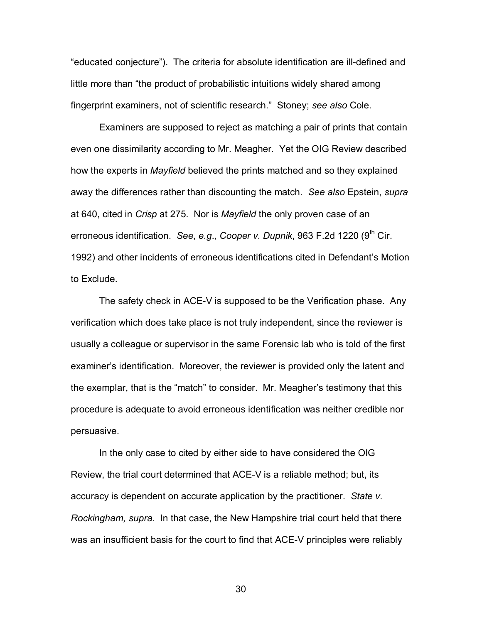"educated conjecture"). The criteria for absolute identification are ill-defined and little more than "the product of probabilistic intuitions widely shared among fingerprint examiners, not of scientific research." Stoney; *see also* Cole.

 Examiners are supposed to reject as matching a pair of prints that contain even one dissimilarity according to Mr. Meagher. Yet the OIG Review described how the experts in *Mayfield* believed the prints matched and so they explained away the differences rather than discounting the match. *See also* Epstein, *supra* at 640, cited in *Crisp* at 275. Nor is *Mayfield* the only proven case of an erroneous identification. *See, e.g., Cooper v. Dupnik*, 963 F.2d 1220 (9<sup>th</sup> Cir. 1992) and other incidents of erroneous identifications cited in Defendant's Motion to Exclude.

 The safety check in ACE-V is supposed to be the Verification phase. Any verification which does take place is not truly independent, since the reviewer is usually a colleague or supervisor in the same Forensic lab who is told of the first examiner's identification. Moreover, the reviewer is provided only the latent and the exemplar, that is the "match" to consider. Mr. Meagher's testimony that this procedure is adequate to avoid erroneous identification was neither credible nor persuasive.

 In the only case to cited by either side to have considered the OIG Review, the trial court determined that ACE-V is a reliable method; but, its accuracy is dependent on accurate application by the practitioner. *State v. Rockingham, supra.* In that case, the New Hampshire trial court held that there was an insufficient basis for the court to find that ACE-V principles were reliably

30 and 20 and 20 and 20 and 20 and 20 and 20 and 20 and 20 and 20 and 20 and 20 and 20 and 20 and 20 and 20 an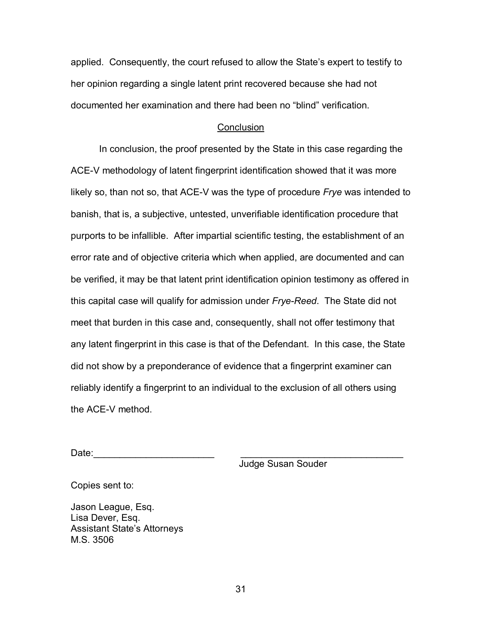applied. Consequently, the court refused to allow the State's expert to testify to her opinion regarding a single latent print recovered because she had not documented her examination and there had been no "blind" verification.

### **Conclusion**

 In conclusion, the proof presented by the State in this case regarding the ACE-V methodology of latent fingerprint identification showed that it was more likely so, than not so, that ACE-V was the type of procedure *Frye* was intended to banish, that is, a subjective, untested, unverifiable identification procedure that purports to be infallible. After impartial scientific testing, the establishment of an error rate and of objective criteria which when applied, are documented and can be verified, it may be that latent print identification opinion testimony as offered in this capital case will qualify for admission under *Frye-Reed*. The State did not meet that burden in this case and, consequently, shall not offer testimony that any latent fingerprint in this case is that of the Defendant. In this case, the State did not show by a preponderance of evidence that a fingerprint examiner can reliably identify a fingerprint to an individual to the exclusion of all others using the ACE-V method.

Date:\_\_\_\_\_\_\_\_\_\_\_\_\_\_\_\_\_\_\_\_\_\_\_ \_\_\_\_\_\_\_\_\_\_\_\_\_\_\_\_\_\_\_\_\_\_\_\_\_\_\_\_\_\_\_

Judge Susan Souder

Copies sent to:

Jason League, Esq. Lisa Dever, Esq. Assistant State's Attorneys M.S. 3506